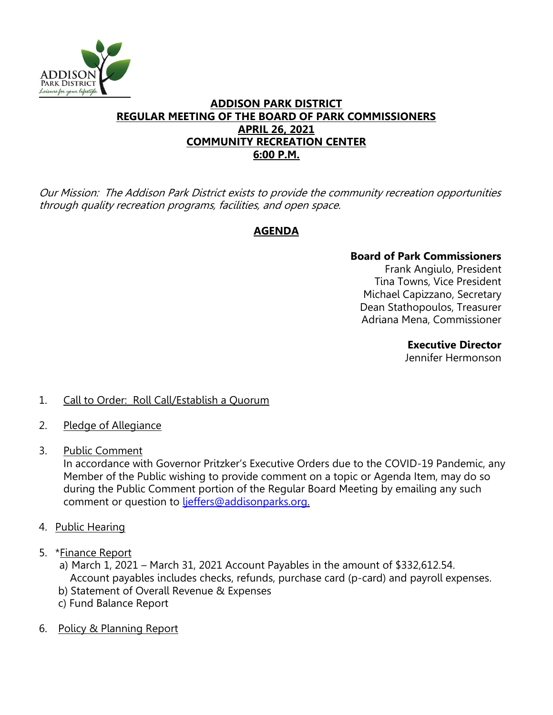

### **ADDISON PARK DISTRICT REGULAR MEETING OF THE BOARD OF PARK COMMISSIONERS APRIL 26, 2021 COMMUNITY RECREATION CENTER 6:00 P.M.**

Our Mission: The Addison Park District exists to provide the community recreation opportunities through quality recreation programs, facilities, and open space.

# **AGENDA**

### **Board of Park Commissioners**

Frank Angiulo, President Tina Towns, Vice President Michael Capizzano, Secretary Dean Stathopoulos, Treasurer Adriana Mena, Commissioner

### **Executive Director**

Jennifer Hermonson

## 1. Call to Order: Roll Call/Establish a Quorum

- 2. Pledge of Allegiance
- 3. Public Comment

In accordance with Governor Pritzker's Executive Orders due to the COVID-19 Pandemic, any Member of the Public wishing to provide comment on a topic or Agenda Item, may do so during the Public Comment portion of the Regular Board Meeting by emailing any such comment or question to [ljeffers@addisonparks.org.](mailto:ljeffers@addisonparks.org)

- 4. Public Hearing
- 5. \*Finance Report
	- a) March 1, 2021 March 31, 2021 Account Payables in the amount of \$332,612.54. Account payables includes checks, refunds, purchase card (p-card) and payroll expenses.
	- b) Statement of Overall Revenue & Expenses
	- c) Fund Balance Report
- 6. Policy & Planning Report